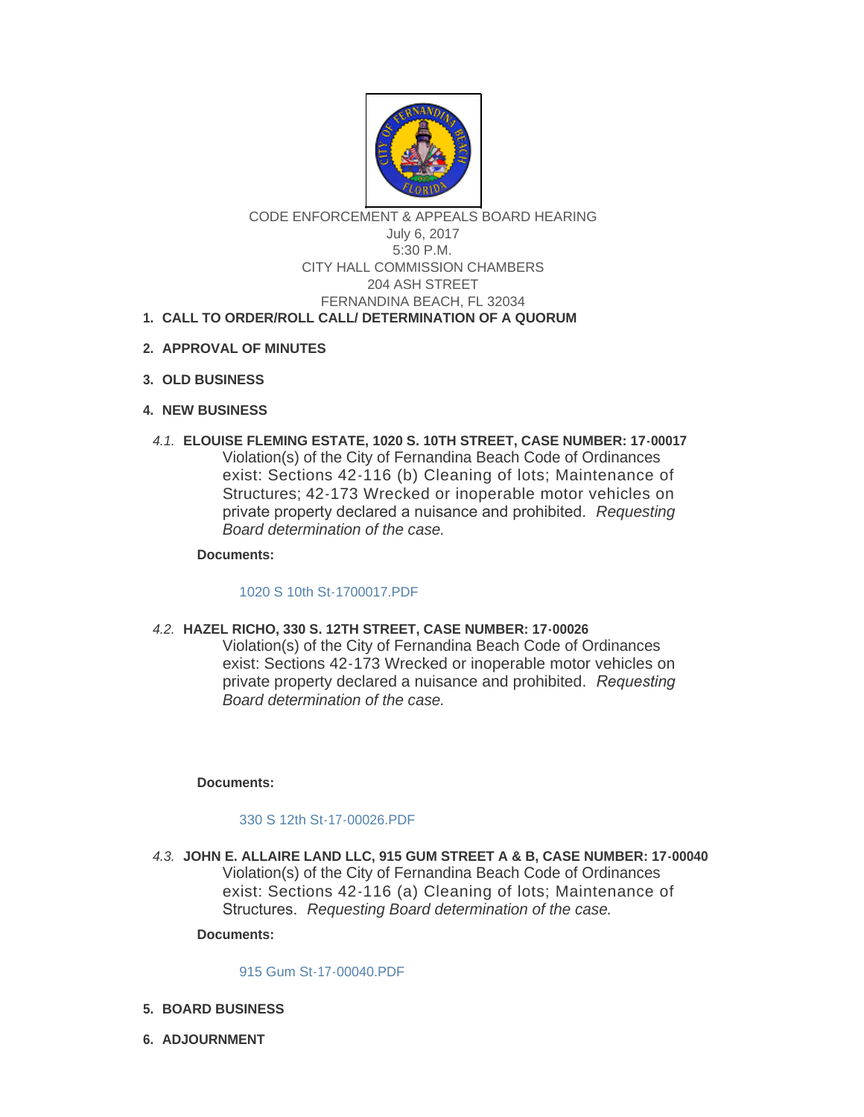

## CODE ENFORCEMENT & APPEALS BOARD HEARING July 6, 2017 5:30 P.M. CITY HALL COMMISSION CHAMBERS 204 ASH STREET FERNANDINA BEACH, FL 32034

# **CALL TO ORDER/ROLL CALL/ DETERMINATION OF A QUORUM 1.**

- **APPROVAL OF MINUTES 2.**
- **OLD BUSINESS 3.**
- **NEW BUSINESS 4.**
- **ELOUISE FLEMING ESTATE, 1020 S. 10TH STREET, CASE NUMBER: 17-00017** *4.1.* Violation(s) of the City of Fernandina Beach Code of Ordinances exist: Sections 42-116 (b) Cleaning of lots; Maintenance of Structures; 42-173 Wrecked or inoperable motor vehicles on private property declared a nuisance and prohibited. *Requesting Board determination of the case.*

**Documents:**

### [1020 S 10th St-1700017.PDF](http://www.fbfl.us/AgendaCenter/ViewFile/Item/7949?fileID=5141)

**HAZEL RICHO, 330 S. 12TH STREET, CASE NUMBER: 17-00026** *4.2.*

Violation(s) of the City of Fernandina Beach Code of Ordinances exist: Sections 42-173 Wrecked or inoperable motor vehicles on private property declared a nuisance and prohibited. *Requesting Board determination of the case.*

### **Documents:**

### [330 S 12th St-17-00026.PDF](http://www.fbfl.us/AgendaCenter/ViewFile/Item/7950?fileID=5142)

**JOHN E. ALLAIRE LAND LLC, 915 GUM STREET A & B, CASE NUMBER: 17-00040** *4.3.* Violation(s) of the City of Fernandina Beach Code of Ordinances exist: Sections 42-116 (a) Cleaning of lots; Maintenance of Structures. *Requesting Board determination of the case.*

**Documents:**

#### [915 Gum St-17-00040.PDF](http://www.fbfl.us/AgendaCenter/ViewFile/Item/7952?fileID=5143)

- **BOARD BUSINESS 5.**
- **ADJOURNMENT 6.**